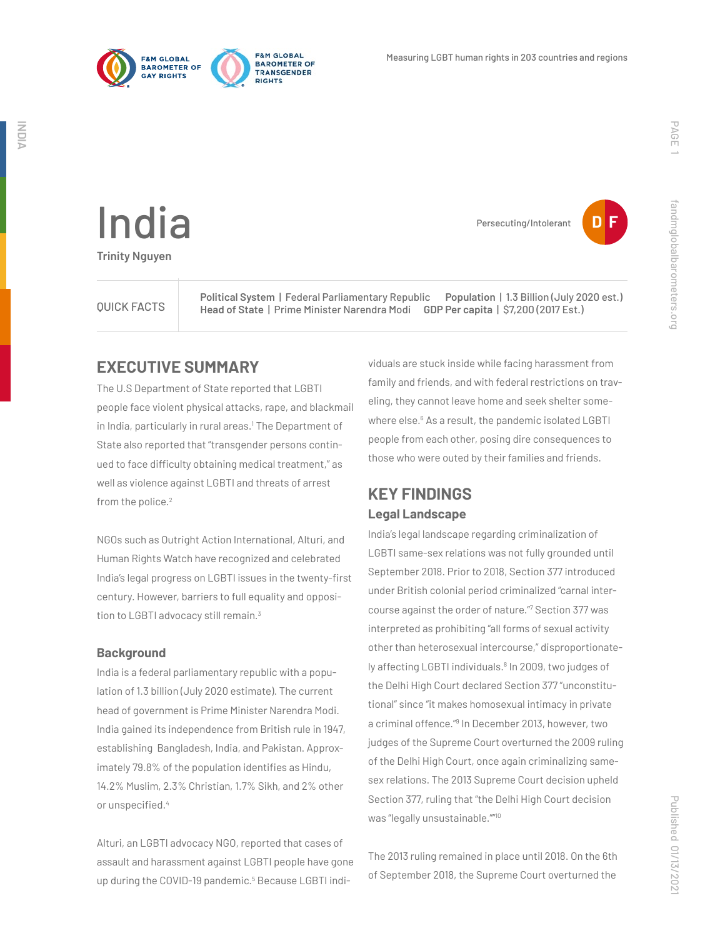



**Persecuting/Intolerant** 

India **Trinity Nguyen**

QUICK FACTS **Political System** | Federal Parliamentary Republic **Population** | 1.3 Billion (July 2020 est.) **Head of State** | Prime Minister Narendra Modi **GDP Per capita** | \$7,200 (2017 Est.)

## **EXECUTIVE SUMMARY**

The U.S Department of State reported that LGBTI people face violent physical attacks, rape, and blackmail in India, particularly in rural areas.<sup>1</sup> The Department of State also reported that "transgender persons continued to face difficulty obtaining medical treatment," as well as violence against LGBTI and threats of arrest from the police.<sup>2</sup>

NGOs such as Outright Action International, Alturi, and Human Rights Watch have recognized and celebrated India's legal progress on LGBTI issues in the twenty-first century. However, barriers to full equality and opposition to LGBTI advocacy still remain.<sup>3</sup>

#### **Background**

India is a federal parliamentary republic with a population of 1.3 billion (July 2020 estimate). The current head of government is Prime Minister Narendra Modi. India gained its independence from British rule in 1947, establishing Bangladesh, India, and Pakistan. Approximately 79.8% of the population identifies as Hindu, 14.2% Muslim, 2.3% Christian, 1.7% Sikh, and 2% other or unspecified.<sup>4</sup>

Alturi, an LGBTI advocacy NGO, reported that cases of assault and harassment against LGBTI people have gone up during the COVID-19 pandemic.<sup>5</sup> Because LGBTI individuals are stuck inside while facing harassment from family and friends, and with federal restrictions on traveling, they cannot leave home and seek shelter somewhere else.<sup>6</sup> As a result, the pandemic isolated LGBTI people from each other, posing dire consequences to those who were outed by their families and friends.

## **KEY FINDINGS Legal Landscape**

India's legal landscape regarding criminalization of LGBTI same-sex relations was not fully grounded until September 2018. Prior to 2018, Section 377 introduced under British colonial period criminalized "carnal intercourse against the order of nature."7 Section 377 was interpreted as prohibiting "all forms of sexual activity other than heterosexual intercourse," disproportionately affecting LGBTI individuals.<sup>8</sup> In 2009, two judges of the Delhi High Court declared Section 377 "unconstitutional" since "it makes homosexual intimacy in private a criminal offence."<sup>9</sup> In December 2013, however, two judges of the Supreme Court overturned the 2009 ruling of the Delhi High Court, once again criminalizing samesex relations. The 2013 Supreme Court decision upheld Section 377, ruling that "the Delhi High Court decision was "legally unsustainable.""<sup>10</sup>

The 2013 ruling remained in place until 2018. On the 6th of September 2018, the Supreme Court overturned the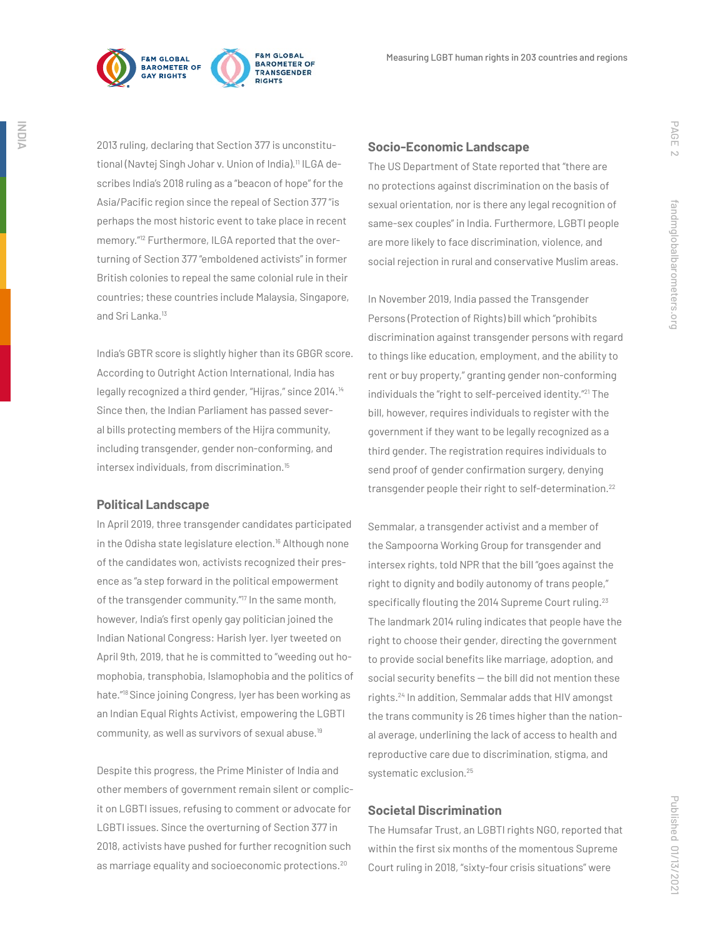

**FRM GLORAL BAROMETER OF** TRANSGENDER **PIGHTS** 

2013 ruling, declaring that Section 377 is unconstitutional (Navtej Singh Johar v. Union of India).<sup>11</sup> ILGA describes India's 2018 ruling as a "beacon of hope" for the Asia/Pacific region since the repeal of Section 377 "is perhaps the most historic event to take place in recent memory."12 Furthermore, ILGA reported that the overturning of Section 377 "emboldened activists" in former British colonies to repeal the same colonial rule in their countries; these countries include Malaysia, Singapore, and Sri Lanka.<sup>13</sup>

India's GBTR score is slightly higher than its GBGR score. According to Outright Action International, India has legally recognized a third gender, "Hijras," since 2014.<sup>14</sup> Since then, the Indian Parliament has passed several bills protecting members of the Hijra community, including transgender, gender non-conforming, and intersex individuals, from discrimination.<sup>15</sup>

#### **Political Landscape**

In April 2019, three transgender candidates participated in the Odisha state legislature election.<sup>16</sup> Although none of the candidates won, activists recognized their presence as "a step forward in the political empowerment of the transgender community."<sup>17</sup> In the same month, however, India's first openly gay politician joined the Indian National Congress: Harish Iyer. Iyer tweeted on April 9th, 2019, that he is committed to "weeding out homophobia, transphobia, Islamophobia and the politics of hate."18 Since joining Congress, Iyer has been working as an Indian Equal Rights Activist, empowering the LGBTI community, as well as survivors of sexual abuse.19

Despite this progress, the Prime Minister of India and other members of government remain silent or complicit on LGBTI issues, refusing to comment or advocate for LGBTI issues. Since the overturning of Section 377 in 2018, activists have pushed for further recognition such as marriage equality and socioeconomic protections.<sup>20</sup>

#### **Socio-Economic Landscape**

The US Department of State reported that "there are no protections against discrimination on the basis of sexual orientation, nor is there any legal recognition of same-sex couples" in India. Furthermore, LGBTI people are more likely to face discrimination, violence, and social rejection in rural and conservative Muslim areas.

In November 2019, India passed the Transgender Persons (Protection of Rights) bill which "prohibits discrimination against transgender persons with regard to things like education, employment, and the ability to rent or buy property," granting gender non-conforming individuals the "right to self-perceived identity."<sup>21</sup> The bill, however, requires individuals to register with the government if they want to be legally recognized as a third gender. The registration requires individuals to send proof of gender confirmation surgery, denying transgender people their right to self-determination.22

Semmalar, a transgender activist and a member of the Sampoorna Working Group for transgender and intersex rights, told NPR that the bill "goes against the right to dignity and bodily autonomy of trans people," specifically flouting the 2014 Supreme Court ruling.<sup>23</sup> The landmark 2014 ruling indicates that people have the right to choose their gender, directing the government to provide social benefits like marriage, adoption, and social security benefits  $-$  the bill did not mention these rights.24 In addition, Semmalar adds that HIV amongst the trans community is 26 times higher than the national average, underlining the lack of access to health and reproductive care due to discrimination, stigma, and systematic exclusion.25

#### **Societal Discrimination**

The Humsafar Trust, an LGBTI rights NGO, reported that within the first six months of the momentous Supreme Court ruling in 2018, "sixty-four crisis situations" were

PAGE 2

fandmglobalbarometers.org

fandmglobalbarometers.org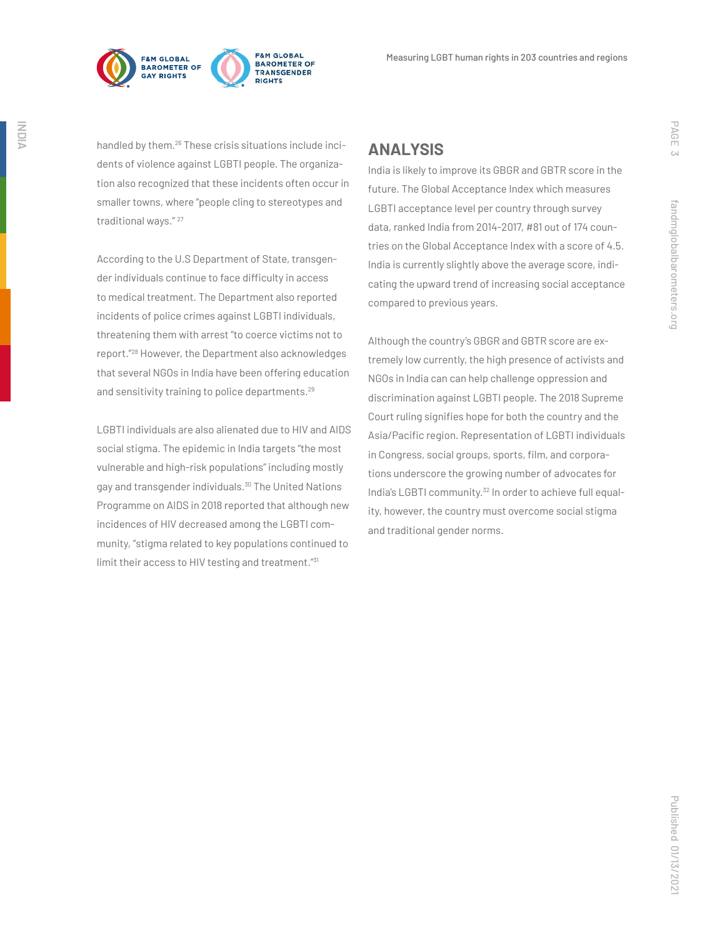



handled by them.<sup>26</sup> These crisis situations include incidents of violence against LGBTI people. The organization also recognized that these incidents often occur in smaller towns, where "people cling to stereotypes and traditional ways." <sup>27</sup>

According to the U.S Department of State, transgender individuals continue to face difficulty in access to medical treatment. The Department also reported incidents of police crimes against LGBTI individuals, threatening them with arrest "to coerce victims not to report."28 However, the Department also acknowledges that several NGOs in India have been offering education and sensitivity training to police departments.<sup>29</sup>

LGBTI individuals are also alienated due to HIV and AIDS social stigma. The epidemic in India targets "the most vulnerable and high-risk populations" including mostly gay and transgender individuals.<sup>30</sup> The United Nations Programme on AIDS in 2018 reported that although new incidences of HIV decreased among the LGBTI community, "stigma related to key populations continued to limit their access to HIV testing and treatment."<sup>31</sup>

### **ANALYSIS**

India is likely to improve its GBGR and GBTR score in the future. The Global Acceptance Index which measures LGBTI acceptance level per country through survey data, ranked India from 2014-2017, #81 out of 174 countries on the Global Acceptance Index with a score of 4.5. India is currently slightly above the average score, indicating the upward trend of increasing social acceptance compared to previous years.

Although the country's GBGR and GBTR score are extremely low currently, the high presence of activists and NGOs in India can can help challenge oppression and discrimination against LGBTI people. The 2018 Supreme Court ruling signifies hope for both the country and the Asia/Pacific region. Representation of LGBTI individuals in Congress, social groups, sports, film, and corporations underscore the growing number of advocates for India's LGBTI community.<sup>32</sup> In order to achieve full equality, however, the country must overcome social stigma and traditional gender norms.

PAGE 3

fandmglobalbarometers.org

fandmglobalbarometers.org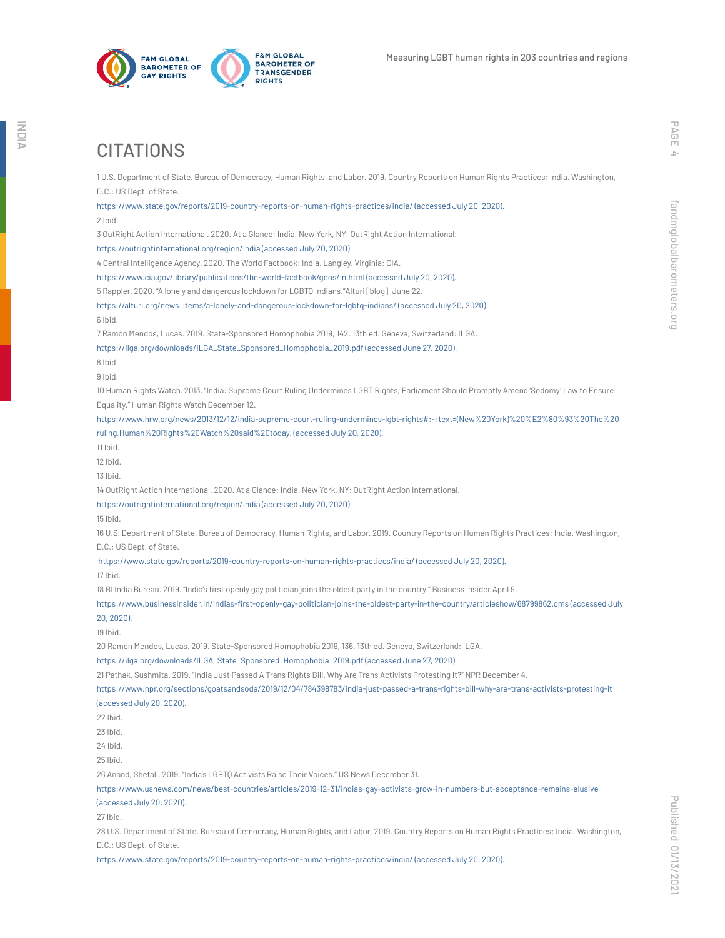

# PAGE

fandmglobalbarometers.org

fandmglobalbarometers.org

https://alturi.org/news\_items/a-lonely-and-dangerous-lockdown-for-lgbtq-indians/ (accessed July 20, 2020).

10 Human Rights Watch. 2013. "India: Supreme Court Ruling Undermines LGBT Rights, Parliament Should Promptly Amend 'Sodomy' Law to Ensure Equality." Human Rights Watch December 12.

1 U.S. Department of State. Bureau of Democracy, Human Rights, and Labor. 2019. Country Reports on Human Rights Practices: India. Washington,

https://www.state.gov/reports/2019-country-reports-on-human-rights-practices/india/ (accessed July 20, 2020).

3 OutRight Action International. 2020. At a Glance: India. New York, NY: OutRight Action International.

https://www.cia.gov/library/publications/the-world-factbook/geos/in.html (accessed July 20, 2020). 5 Rappler. 2020. "A lonely and dangerous lockdown for LGBTQ Indians."Alturi [blog], June 22.

7 Ramón Mendos, Lucas. 2019. State-Sponsored Homophobia 2019, 142. 13th ed. Geneva, Switzerland: ILGA. https://ilga.org/downloads/ILGA\_State\_Sponsored\_Homophobia\_2019.pdf (accessed June 27, 2020).

https://www.hrw.org/news/2013/12/12/india-supreme-court-ruling-undermines-lgbt-rights#:~:text=(New%20York)%20%E2%80%93%20The%20 ruling,Human%20Rights%20Watch%20said%20today. (accessed July 20, 2020).

11 Ibid.

D.C.: US Dept. of State.

**CITATIONS** 

2 Ibid.

6 Ibid.

8 Ibid. 9 Ibid.

12 Ibid.

13 Ibid.

14 OutRight Action International. 2020. At a Glance: India. New York, NY: OutRight Action International.

https://outrightinternational.org/region/india (accessed July 20, 2020).

https://outrightinternational.org/region/india (accessed July 20, 2020).

4 Central Intelligence Agency. 2020. The World Factbook: India. Langley, Virginia: CIA.

15 Ibid.

16 U.S. Department of State. Bureau of Democracy, Human Rights, and Labor. 2019. Country Reports on Human Rights Practices: India. Washington, D.C.: US Dept. of State.

https://www.state.gov/reports/2019-country-reports-on-human-rights-practices/india/ (accessed July 20, 2020).

17 Ibid.

18 BI India Bureau. 2019. "India's first openly gay politician joins the oldest party in the country." Business Insider April 9.

https://www.businessinsider.in/indias-first-openly-gay-politician-joins-the-oldest-party-in-the-country/articleshow/68799862.cms (accessed July 20, 2020).

19 Ibid.

20 Ramón Mendos, Lucas. 2019. State-Sponsored Homophobia 2019, 136. 13th ed. Geneva, Switzerland: ILGA.

https://ilga.org/downloads/ILGA\_State\_Sponsored\_Homophobia\_2019.pdf (accessed June 27, 2020).

21 Pathak, Sushmita. 2019. "India Just Passed A Trans Rights Bill. Why Are Trans Activists Protesting It?" NPR December 4.

https://www.npr.org/sections/goatsandsoda/2019/12/04/784398783/india-just-passed-a-trans-rights-bill-why-are-trans-activists-protesting-it (accessed July 20, 2020).

22 Ibid.

23 Ibid.

24 Ibid.

25 Ibid.

26 Anand, Shefali. 2019. "India's LGBTQ Activists Raise Their Voices." US News December 31.

https://www.usnews.com/news/best-countries/articles/2019-12-31/indias-gay-activists-grow-in-numbers-but-acceptance-remains-elusive (accessed July 20, 2020).

27 Ibid.

28 U.S. Department of State. Bureau of Democracy, Human Rights, and Labor. 2019. Country Reports on Human Rights Practices: India. Washington, D.C.: US Dept. of State.

https://www.state.gov/reports/2019-country-reports-on-human-rights-practices/india/ (accessed July 20, 2020).